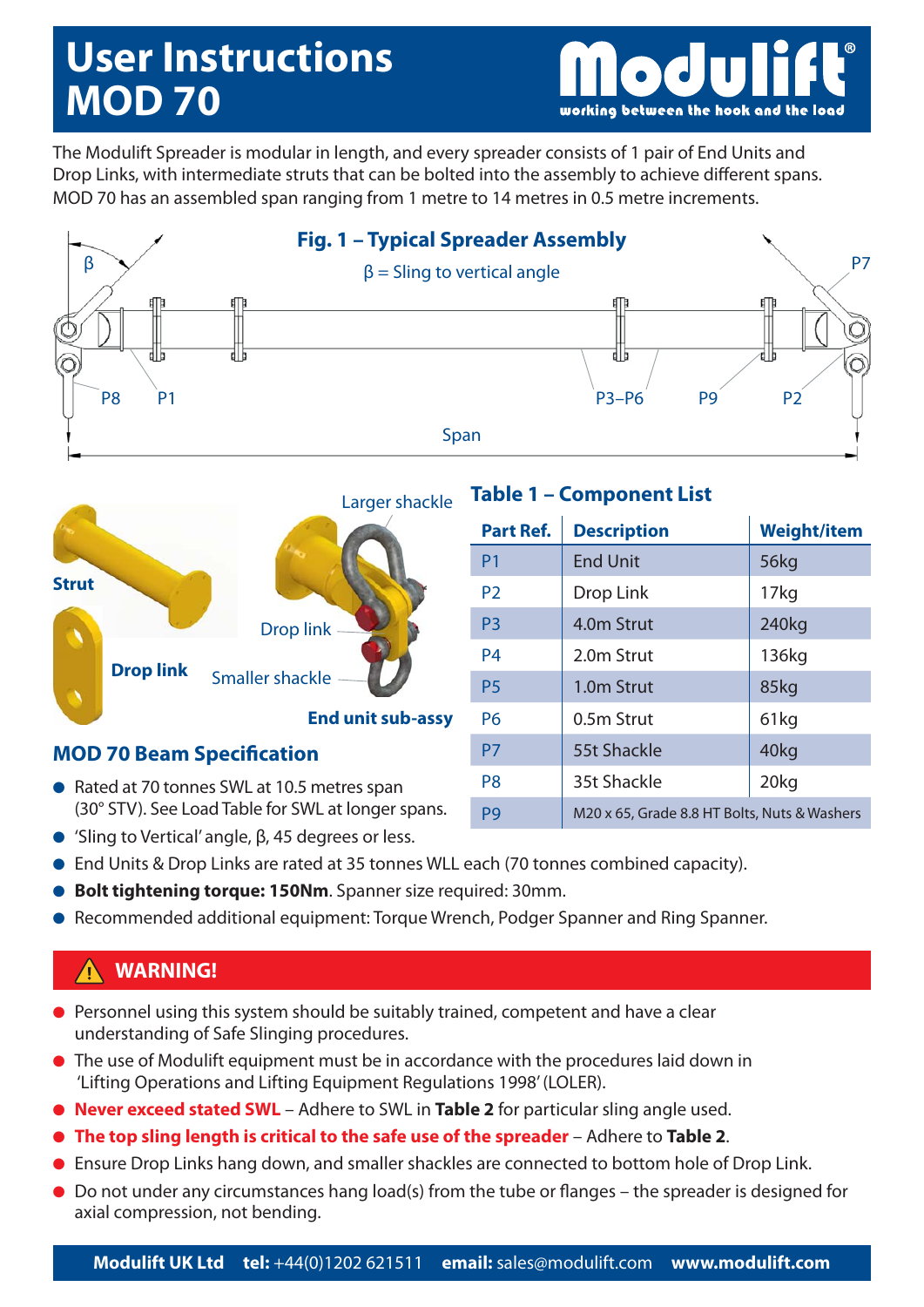# **User Instructions MOD 70**

working between the hook and the load

The Modulift Spreader is modular in length, and every spreader consists of 1 pair of End Units and Drop Links, with intermediate struts that can be bolted into the assembly to achieve different spans. MOD 70 has an assembled span ranging from 1 metre to 14 metres in 0.5 metre increments.





#### **MOD 70 Beam Specification**

- Rated at 70 tonnes SWL at 10.5 metres span (30° STV). See Load Table for SWL at longer spans.
- 'Sling to Vertical' angle, β, 45 degrees or less.

## **Table 1 – Component List**

| <b>Part Ref.</b> | <b>Description</b>                           | <b>Weight/item</b> |  |  |  |
|------------------|----------------------------------------------|--------------------|--|--|--|
| P <sub>1</sub>   | <b>End Unit</b>                              | 56kg               |  |  |  |
| P <sub>2</sub>   | Drop Link                                    | 17 <sub>kg</sub>   |  |  |  |
| P <sub>3</sub>   | 4.0 <sub>m</sub> Strut                       | 240kg              |  |  |  |
| <b>P4</b>        | 2.0m Strut                                   | 136kg              |  |  |  |
| <b>P5</b>        | 1.0 <sub>m</sub> Strut                       | 85kg               |  |  |  |
| P <sub>6</sub>   | 0.5m Strut                                   | 61kg               |  |  |  |
| P7               | 55t Shackle                                  | 40kg               |  |  |  |
| P <sub>8</sub>   | 35t Shackle                                  | 20 <sub>kq</sub>   |  |  |  |
| P <sub>9</sub>   | M20 x 65, Grade 8.8 HT Bolts, Nuts & Washers |                    |  |  |  |

- End Units & Drop Links are rated at 35 tonnes WLL each (70 tonnes combined capacity).
- **Bolt tightening torque: 150Nm**. Spanner size required: 30mm.
- Recommended additional equipment: Torque Wrench, Podger Spanner and Ring Spanner.

### **WARNING!**

- Personnel using this system should be suitably trained, competent and have a clear understanding of Safe Slinging procedures.
- The use of Modulift equipment must be in accordance with the procedures laid down in 'Lifting Operations and Lifting Equipment Regulations 1998' (LOLER).
- **Never exceed stated SWL** Adhere to SWL in **Table 2** for particular sling angle used.
- **The top sling length is critical to the safe use of the spreader** Adhere to **Table 2**.
- Ensure Drop Links hang down, and smaller shackles are connected to bottom hole of Drop Link.
- Do not under any circumstances hang load(s) from the tube or flanges the spreader is designed for axial compression, not bending.